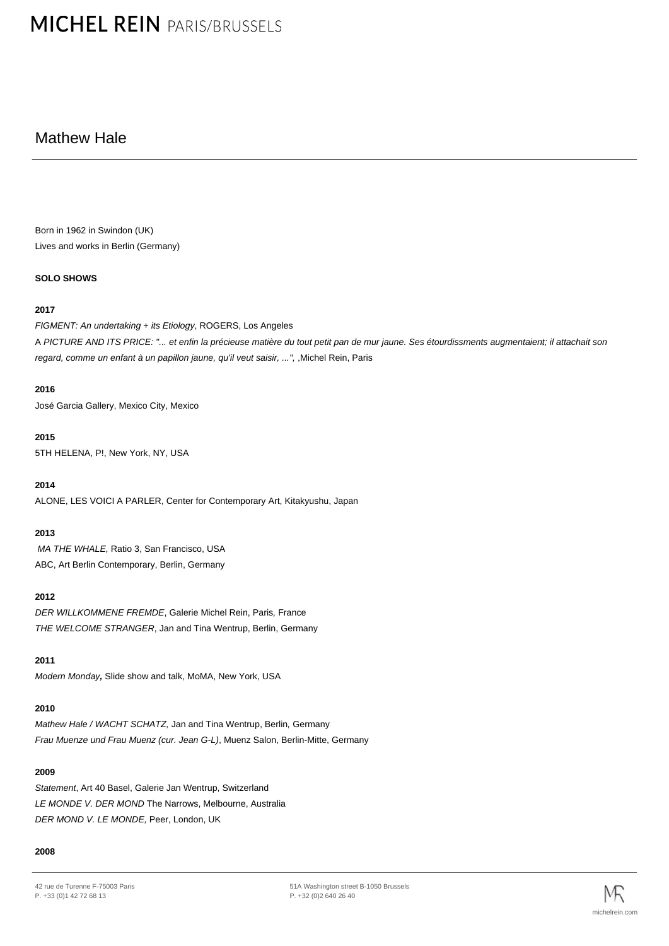# **MICHEL REIN PARIS/BRUSSELS**

## Mathew Hale

Born in 1962 in Swindon (UK) Lives and works in Berlin (Germany)

## **SOLO SHOWS**

## **2017**

FIGMENT: An undertaking + its Etiology, ROGERS, Los Angeles A PICTURE AND ITS PRICE: "... et enfin la précieuse matière du tout petit pan de mur jaune. Ses étourdissments augmentaient; il attachait son regard, comme un enfant à un papillon jaune, qu'il veut saisir, ...", ,Michel Rein, Paris

## **2016**

José Garcia Gallery, Mexico City, Mexico

## **2015**

5TH HELENA, P!, New York, NY, USA

**2014**

ALONE, LES VOICI A PARLER, Center for Contemporary Art, Kitakyushu, Japan

## **2013**

MA THE WHALE, Ratio 3, San Francisco, USA ABC, Art Berlin Contemporary, Berlin, Germany

## **2012**

DER WILLKOMMENE FREMDE, Galerie Michel Rein, Paris, France THE WELCOME STRANGER, Jan and Tina Wentrup, Berlin, Germany

## **2011**

Modern Monday**,** Slide show and talk, MoMA, New York, USA

## **2010**

Mathew Hale / WACHT SCHATZ, Jan and Tina Wentrup, Berlin, Germany Frau Muenze und Frau Muenz (cur. Jean G-L), Muenz Salon, Berlin-Mitte, Germany

## **2009**

Statement, Art 40 Basel, Galerie Jan Wentrup, Switzerland LE MONDE V. DER MOND The Narrows, Melbourne, Australia DER MOND V. LE MONDE, Peer, London, UK

#### **2008**

<sup>42</sup> rue de Turenne F-75003 Paris P. +33 (0)1 42 72 68 13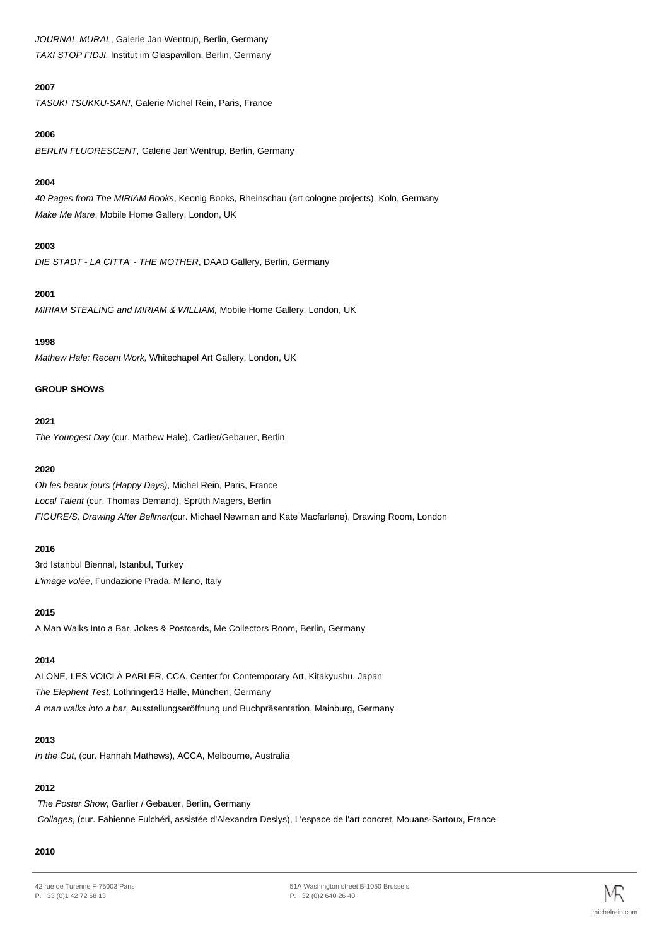JOURNAL MURAL, Galerie Jan Wentrup, Berlin, Germany TAXI STOP FIDJI, Institut im Glaspavillon, Berlin, Germany

## **2007**

TASUK! TSUKKU-SAN!, Galerie Michel Rein, Paris, France

## **2006**

BERLIN FLUORESCENT, Galerie Jan Wentrup, Berlin, Germany

## **2004**

40 Pages from The MIRIAM Books, Keonig Books, Rheinschau (art cologne projects), Koln, Germany Make Me Mare, Mobile Home Gallery, London, UK

## **2003**

DIE STADT - LA CITTA' - THE MOTHER, DAAD Gallery, Berlin, Germany

## **2001**

MIRIAM STEALING and MIRIAM & WILLIAM, Mobile Home Gallery, London, UK

## **1998**

Mathew Hale: Recent Work, Whitechapel Art Gallery, London, UK

## **GROUP SHOWS**

## **2021**

The Youngest Day (cur. Mathew Hale), Carlier/Gebauer, Berlin

## **2020**

Oh les beaux jours (Happy Days), Michel Rein, Paris, France Local Talent (cur. Thomas Demand), Sprüth Magers, Berlin FIGURE/S, Drawing After Bellmer(cur. Michael Newman and Kate Macfarlane), Drawing Room, London

## **2016**

3rd Istanbul Biennal, Istanbul, Turkey L'image volée, Fundazione Prada, Milano, Italy

## **2015**

A Man Walks Into a Bar, Jokes & Postcards, Me Collectors Room, Berlin, Germany

## **2014**

ALONE, LES VOICI À PARLER, CCA, Center for Contemporary Art, Kitakyushu, Japan The Elephent Test, Lothringer13 Halle, München, Germany A man walks into a bar, Ausstellungseröffnung und Buchpräsentation, Mainburg, Germany

## **2013**

In the Cut, (cur. Hannah Mathews), ACCA, Melbourne, Australia

## **2012**

The Poster Show, Garlier / Gebauer, Berlin, Germany Collages, (cur. Fabienne Fulchéri, assistée d'Alexandra Deslys), L'espace de l'art concret, Mouans-Sartoux, France

## **2010**

42 rue de Turenne F-75003 Paris P. +33 (0)1 42 72 68 13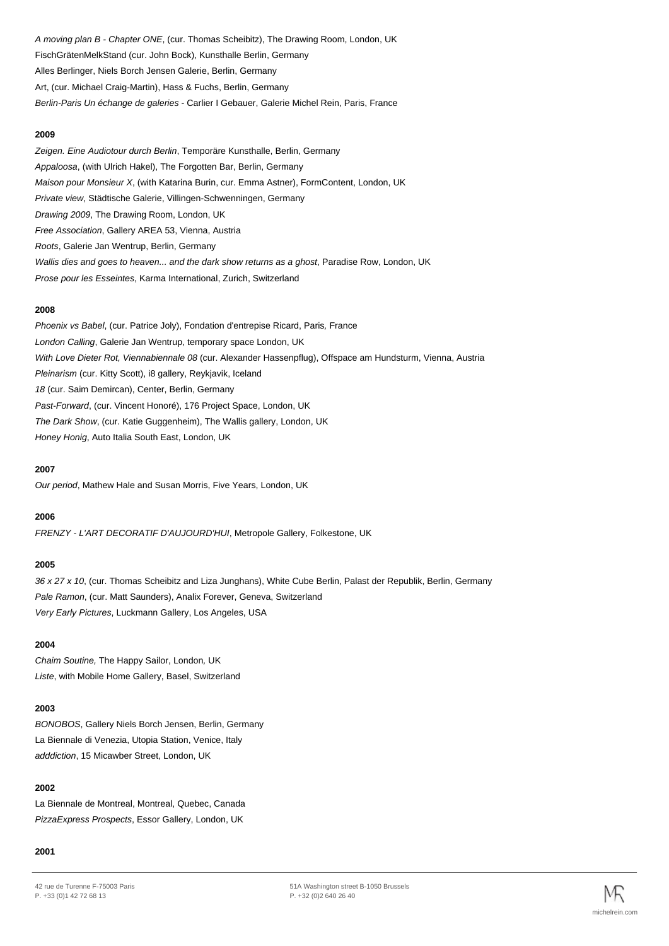A moving plan B - Chapter ONE, (cur. Thomas Scheibitz), The Drawing Room, London, UK FischGrätenMelkStand (cur. John Bock), Kunsthalle Berlin, Germany Alles Berlinger, Niels Borch Jensen Galerie, Berlin, Germany Art, (cur. Michael Craig-Martin), Hass & Fuchs, Berlin, Germany Berlin-Paris Un échange de galeries - Carlier I Gebauer, Galerie Michel Rein, Paris, France

#### **2009**

Zeigen. Eine Audiotour durch Berlin, Temporäre Kunsthalle, Berlin, Germany Appaloosa, (with Ulrich Hakel), The Forgotten Bar, Berlin, Germany Maison pour Monsieur X, (with Katarina Burin, cur. Emma Astner), FormContent, London, UK Private view, Städtische Galerie, Villingen-Schwenningen, Germany Drawing 2009, The Drawing Room, London, UK Free Association, Gallery AREA 53, Vienna, Austria Roots, Galerie Jan Wentrup, Berlin, Germany Wallis dies and goes to heaven... and the dark show returns as a ghost, Paradise Row, London, UK Prose pour les Esseintes, Karma International, Zurich, Switzerland

#### **2008**

Phoenix vs Babel, (cur. Patrice Joly), Fondation d'entrepise Ricard, Paris, France London Calling, Galerie Jan Wentrup, temporary space London, UK With Love Dieter Rot, Viennabiennale 08 (cur. Alexander Hassenpflug), Offspace am Hundsturm, Vienna, Austria Pleinarism (cur. Kitty Scott), i8 gallery, Reykjavik, Iceland 18 (cur. Saim Demircan), Center, Berlin, Germany Past-Forward, (cur. Vincent Honoré), 176 Project Space, London, UK The Dark Show, (cur. Katie Guggenheim), The Wallis gallery, London, UK Honey Honig, Auto Italia South East, London, UK

#### **2007**

Our period, Mathew Hale and Susan Morris, Five Years, London, UK

#### **2006**

FRENZY - L'ART DECORATIF D'AUJOURD'HUI, Metropole Gallery, Folkestone, UK

#### **2005**

36 x 27 x 10, (cur. Thomas Scheibitz and Liza Junghans), White Cube Berlin, Palast der Republik, Berlin, Germany Pale Ramon, (cur. Matt Saunders), Analix Forever, Geneva, Switzerland Very Early Pictures, Luckmann Gallery, Los Angeles, USA

#### **2004**

Chaim Soutine, The Happy Sailor, London, UK Liste, with Mobile Home Gallery, Basel, Switzerland

#### **2003**

BONOBOS, Gallery Niels Borch Jensen, Berlin, Germany La Biennale di Venezia, Utopia Station, Venice, Italy adddiction, 15 Micawber Street, London, UK

#### **2002**

La Biennale de Montreal, Montreal, Quebec, Canada PizzaExpress Prospects, Essor Gallery, London, UK

#### **2001**

<sup>42</sup> rue de Turenne F-75003 Paris P. +33 (0)1 42 72 68 13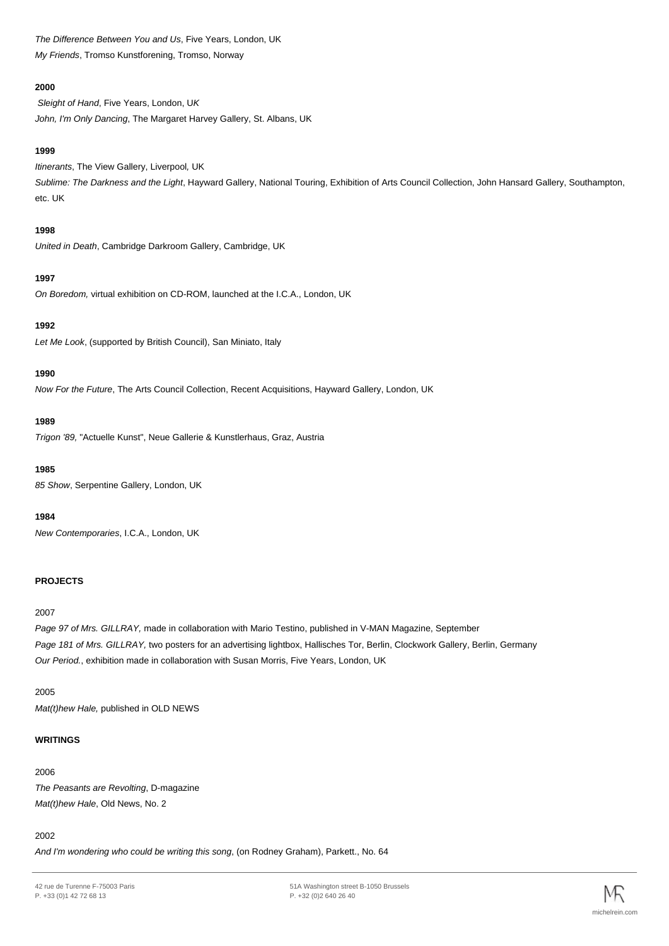The Difference Between You and Us, Five Years, London, UK My Friends, Tromso Kunstforening, Tromso, Norway

## **2000**

Sleight of Hand, Five Years, London, UK John, I'm Only Dancing, The Margaret Harvey Gallery, St. Albans, UK

#### **1999**

Itinerants, The View Gallery, Liverpool, UK Sublime: The Darkness and the Light, Hayward Gallery, National Touring, Exhibition of Arts Council Collection, John Hansard Gallery, Southampton, etc. UK

#### **1998**

United in Death, Cambridge Darkroom Gallery, Cambridge, UK

## **1997**

On Boredom, virtual exhibition on CD-ROM, launched at the I.C.A., London, UK

## **1992**

Let Me Look, (supported by British Council), San Miniato, Italy

## **1990**

Now For the Future, The Arts Council Collection, Recent Acquisitions, Hayward Gallery, London, UK

## **1989**

Trigon '89, "Actuelle Kunst", Neue Gallerie & Kunstlerhaus, Graz, Austria

#### **1985**

85 Show, Serpentine Gallery, London, UK

#### **1984**

New Contemporaries, I.C.A., London, UK

## **PROJECTS**

#### 2007

Page 97 of Mrs. GILLRAY, made in collaboration with Mario Testino, published in V-MAN Magazine, September Page 181 of Mrs. GILLRAY, two posters for an advertising lightbox, Hallisches Tor, Berlin, Clockwork Gallery, Berlin, Germany Our Period., exhibition made in collaboration with Susan Morris, Five Years, London, UK

#### 2005

Mat(t)hew Hale, published in OLD NEWS

#### **WRITINGS**

## 2006 The Peasants are Revolting, D-magazine Mat(t)hew Hale, Old News, No. 2

## 2002

And I'm wondering who could be writing this song, (on Rodney Graham), Parkett., No. 64